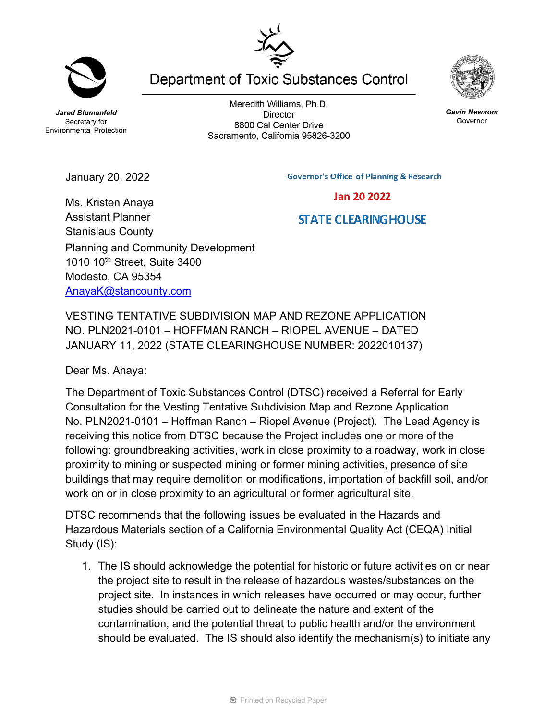**Jared Blumenfeld** Secretary for **Environmental Protection** 

Meredith Williams, Ph.D. **Director** 8800 Cal Center Drive Sacramento, California 95826-3200



**Jan 20 2022** 

**STATE CLEARING HOUSE** 

| エヘヘ                                    |
|----------------------------------------|
|                                        |
| Department of Toxic Substances Control |

January 20, 2022

Ms. Kristen Anaya

Assistant Planner Stanislaus County Planning and Community Development 1010 10<sup>th</sup> Street, Suite 3400 Modesto, CA 95354 [AnayaK@stancounty.com](mailto:AnayaK@stancounty.com)

VESTING TENTATIVE SUBDIVISION MAP AND REZONE APPLICATION NO. PLN2021-0101 – HOFFMAN RANCH – RIOPEL AVENUE – DATED JANUARY 11, 2022 (STATE CLEARINGHOUSE NUMBER: 2022010137)

Dear Ms. Anaya:

The Department of Toxic Substances Control (DTSC) received a Referral for Early Consultation for the Vesting Tentative Subdivision Map and Rezone Application No. PLN2021-0101 – Hoffman Ranch – Riopel Avenue (Project). The Lead Agency is receiving this notice from DTSC because the Project includes one or more of the following: groundbreaking activities, work in close proximity to a roadway, work in close proximity to mining or suspected mining or former mining activities, presence of site buildings that may require demolition or modifications, importation of backfill soil, and/or work on or in close proximity to an agricultural or former agricultural site.

DTSC recommends that the following issues be evaluated in the Hazards and Hazardous Materials section of a California Environmental Quality Act (CEQA) Initial Study (IS):

1. The IS should acknowledge the potential for historic or future activities on or near the project site to result in the release of hazardous wastes/substances on the project site. In instances in which releases have occurred or may occur, further studies should be carried out to delineate the nature and extent of the contamination, and the potential threat to public health and/or the environment should be evaluated. The IS should also identify the mechanism(s) to initiate any

**Gavin Newsom** Governor

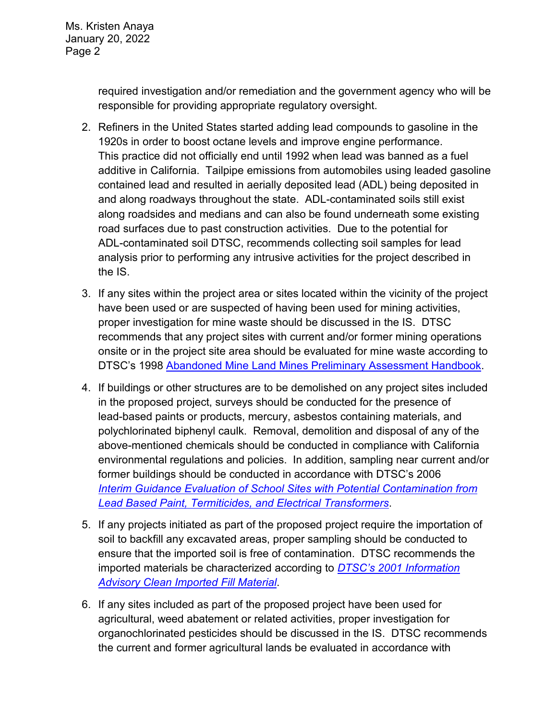Ms. Kristen Anaya January 20, 2022 Page 2

> required investigation and/or remediation and the government agency who will be responsible for providing appropriate regulatory oversight.

- 2. Refiners in the United States started adding lead compounds to gasoline in the 1920s in order to boost octane levels and improve engine performance. This practice did not officially end until 1992 when lead was banned as a fuel additive in California. Tailpipe emissions from automobiles using leaded gasoline contained lead and resulted in aerially deposited lead (ADL) being deposited in and along roadways throughout the state. ADL-contaminated soils still exist along roadsides and medians and can also be found underneath some existing road surfaces due to past construction activities. Due to the potential for ADL-contaminated soil DTSC, recommends collecting soil samples for lead analysis prior to performing any intrusive activities for the project described in the IS.
- 3. If any sites within the project area or sites located within the vicinity of the project have been used or are suspected of having been used for mining activities, proper investigation for mine waste should be discussed in the IS. DTSC recommends that any project sites with current and/or former mining operations onsite or in the project site area should be evaluated for mine waste according to DTSC's 1998 [Abandoned Mine Land Mines Preliminary Assessment Handbook.](https://dtsc.ca.gov/2020/04/17/document-request/?wpf337186_14=https://dtsc.ca.gov/wp-content/uploads/sites/31/2018/11/aml_handbook.pdf)
- 4. If buildings or other structures are to be demolished on any project sites included in the proposed project, surveys should be conducted for the presence of lead-based paints or products, mercury, asbestos containing materials, and polychlorinated biphenyl caulk. Removal, demolition and disposal of any of the above-mentioned chemicals should be conducted in compliance with California environmental regulations and policies. In addition, sampling near current and/or former buildings should be conducted in accordance with DTSC's 2006 *Interim [Guidance Evaluation of School Sites with Potential Contamination from](https://dtsc.ca.gov/2020/04/17/document-request/?wpf337186_14=https://dtsc.ca.gov/wpcontent/uploads/sites/31/2018/09/Guidance_Lead_%20%20Contamination_050118.pdf)  [Lead Based Paint, Termiticides, and Electrical Transformers](https://dtsc.ca.gov/2020/04/17/document-request/?wpf337186_14=https://dtsc.ca.gov/wpcontent/uploads/sites/31/2018/09/Guidance_Lead_%20%20Contamination_050118.pdf)*.
- 5. If any projects initiated as part of the proposed project require the importation of soil to backfill any excavated areas, proper sampling should be conducted to ensure that the imported soil is free of contamination. DTSC recommends the imported materials be characterized according to *[DTSC's 2001 Information](https://dtsc.ca.gov/wp-content/uploads/sites/31/2018/09/SMP_FS_Cleanfill-Schools.pdf)  [Advisory Clean Imported Fill Material](https://dtsc.ca.gov/wp-content/uploads/sites/31/2018/09/SMP_FS_Cleanfill-Schools.pdf)*.
- 6. If any sites included as part of the proposed project have been used for agricultural, weed abatement or related activities, proper investigation for organochlorinated pesticides should be discussed in the IS. DTSC recommends the current and former agricultural lands be evaluated in accordance with